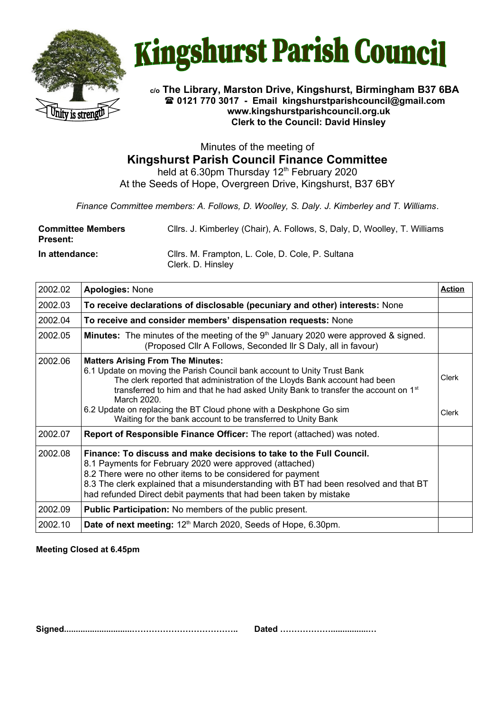



### **c/o The Library, Marston Drive, Kingshurst, Birmingham B37 6BA 0121 770 3017 - Email [kingshurstparishcouncil@gmail.com](mailto:kingshurstparishcouncil@gmail.com) www.kingshurstparishcouncil.org.uk Clerk to the Council: David Hinsley**

Minutes of the meeting of **Kingshurst Parish Council Finance Committee**

held at 6.30pm Thursday  $12<sup>th</sup>$  February 2020 At the Seeds of Hope, Overgreen Drive, Kingshurst, B37 6BY

*Finance Committee members: A. Follows, D. Woolley, S. Daly. J. Kimberley and T. Williams*.

| <b>Committee Members</b><br><b>Present:</b> | Cllrs. J. Kimberley (Chair), A. Follows, S. Daly, D. Woolley, T. Williams |
|---------------------------------------------|---------------------------------------------------------------------------|
| In attendance:                              | Cllrs. M. Frampton, L. Cole, D. Cole, P. Sultana<br>Clerk. D. Hinsley     |

| 2002.02 | <b>Apologies: None</b>                                                                                                                                                                                                                                                                                                                                                                                                                                    | <b>Action</b>  |
|---------|-----------------------------------------------------------------------------------------------------------------------------------------------------------------------------------------------------------------------------------------------------------------------------------------------------------------------------------------------------------------------------------------------------------------------------------------------------------|----------------|
| 2002.03 | To receive declarations of disclosable (pecuniary and other) interests: None                                                                                                                                                                                                                                                                                                                                                                              |                |
| 2002.04 | To receive and consider members' dispensation requests: None                                                                                                                                                                                                                                                                                                                                                                                              |                |
| 2002.05 | <b>Minutes:</b> The minutes of the meeting of the $9th$ January 2020 were approved & signed.<br>(Proposed Cllr A Follows, Seconded IIr S Daly, all in favour)                                                                                                                                                                                                                                                                                             |                |
| 2002.06 | <b>Matters Arising From The Minutes:</b><br>6.1 Update on moving the Parish Council bank account to Unity Trust Bank<br>The clerk reported that administration of the Lloyds Bank account had been<br>transferred to him and that he had asked Unity Bank to transfer the account on 1 <sup>st</sup><br>March 2020.<br>6.2 Update on replacing the BT Cloud phone with a Deskphone Go sim<br>Waiting for the bank account to be transferred to Unity Bank | Clerk<br>Clerk |
| 2002.07 | Report of Responsible Finance Officer: The report (attached) was noted.                                                                                                                                                                                                                                                                                                                                                                                   |                |
| 2002.08 | Finance: To discuss and make decisions to take to the Full Council.<br>8.1 Payments for February 2020 were approved (attached)<br>8.2 There were no other items to be considered for payment<br>8.3 The clerk explained that a misunderstanding with BT had been resolved and that BT<br>had refunded Direct debit payments that had been taken by mistake                                                                                                |                |
| 2002.09 | <b>Public Participation:</b> No members of the public present.                                                                                                                                                                                                                                                                                                                                                                                            |                |
| 2002.10 | Date of next meeting: 12th March 2020, Seeds of Hope, 6.30pm.                                                                                                                                                                                                                                                                                                                                                                                             |                |

**Meeting Closed at 6.45pm**

**Signed.............................……………………………….. Dated ………………................…**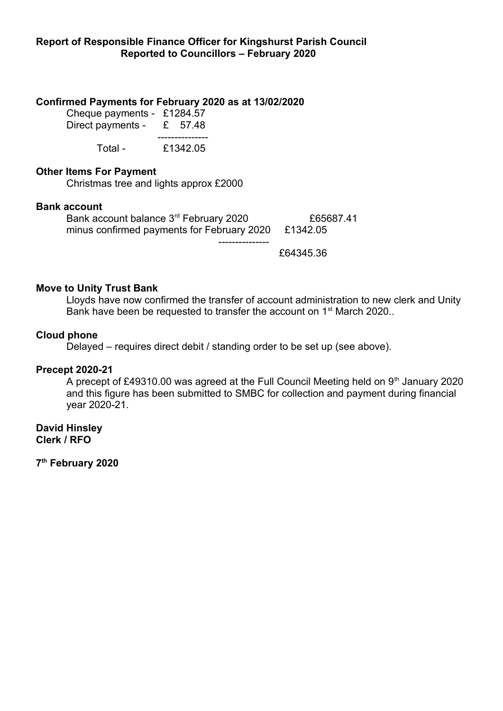# **Confirmed Payments for February 2020 as at 13/02/2020**

| Cheque payments - | £1284.57 |
|-------------------|----------|
| Direct payments - | £ 57.48  |
| Total -           | £1342.05 |

## **Other Items For Payment**

Christmas tree and lights approx £2000

### **Bank account**

Bank account balance 3<sup>rd</sup> February 2020 **£65687.41** minus confirmed payments for February 2020 £1342.05 ---------------

£64345.36

# **Move to Unity Trust Bank**

Lloyds have now confirmed the transfer of account administration to new clerk and Unity Bank have been be requested to transfer the account on 1<sup>st</sup> March 2020..

# **Cloud phone**

Delayed – requires direct debit / standing order to be set up (see above).

### **Precept 2020-21**

A precept of £49310.00 was agreed at the Full Council Meeting held on  $9<sup>th</sup>$  January 2020 and this figure has been submitted to SMBC for collection and payment during financial year 2020-21.

**David Hinsley Clerk / RFO**

**7 th February 2020**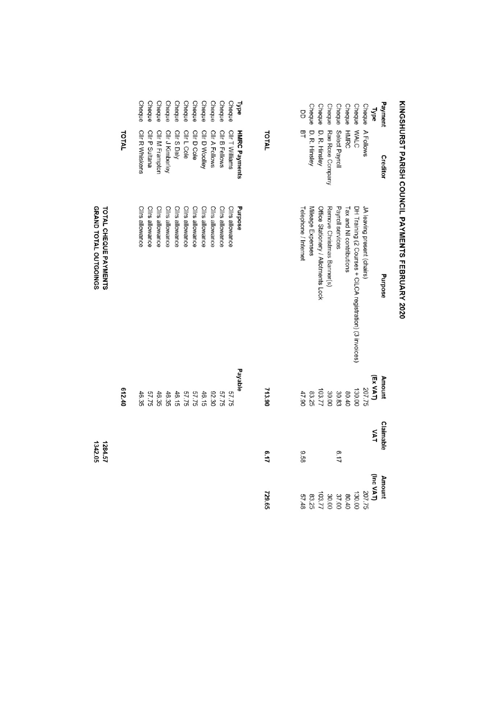|                                                       |        | <b>Cheque</b>   | Cheque          | Cheque          | <b>Cheque</b>    | <b>Cheque</b>   | <b>Cheque</b>   | Cheque          | <b>Cheque</b>   | Cheque          | <b>Cheque</b>   | Cheque          | <b>Type</b>          |        | g                    | <b>Cheque</b>     | <b>Cheque</b>                       | Cheque                     | <b>Cheque</b>    | Cheque                   | <b>Cheque</b>                                             | Cheque                     | <b>Type</b> | Payment       |  |
|-------------------------------------------------------|--------|-----------------|-----------------|-----------------|------------------|-----------------|-----------------|-----------------|-----------------|-----------------|-----------------|-----------------|----------------------|--------|----------------------|-------------------|-------------------------------------|----------------------------|------------------|--------------------------|-----------------------------------------------------------|----------------------------|-------------|---------------|--|
|                                                       | TOTAL  | Cllr R Whiskens | Cllr P Sultana  | Cllr M Frampton | Cllr J Kimberley | Cllr S Daly     | Cllr L Cole     | Cllr D Cole     | Cllr D Woolley  | Cllr A Follows  | Cllr B Fellows  | Cllr T Williams | <b>HMRC Payments</b> | TOTAL  | 马                    | D. R. Hinsley     | D. R. Hinsley                       | Rae Rose Company           | Select Payroll   | <b>HMRC</b>              | <b>MALC</b>                                               | A Follows                  |             | Creditor      |  |
| GRAND TOTAL OUTGOINGS<br><b>TOTAL CHEQUE PAYMENTS</b> |        | Clirs allowance | Clirs allowance | Cllrs allowance | Cllrs allowance  | Cllrs allowance | Clirs allowance | Cllrs allowance | Cllrs allowance | Clirs allowance | Cllrs allowance | Cllrs allowance | Purpose              |        | Telephone / Internet | Mileage Expenses  | Office Stationery / Allotments Lock | Remove Christmas Banner(s) | Payroll services | Tax and NI contributions | DH Training (2 Courses + CiLCA registration) (3 invoices) | JA leaving present (chairs |             | Purpose       |  |
|                                                       | 612.40 | 46.35           | 57.75           | 46.35           | 46.35            | 46.15           | 57.75           | 57.75           | 46.15           | 92.30           | 57.75           | 57.75           | Payable              | 713.90 | 47.90                | $103.77$<br>83.25 |                                     | 30.00                      | 30.83            | 80.40                    | 130.00                                                    | 207.75                     | (Ex VAT)    | <b>Amount</b> |  |
| 1284.57<br>1342.05                                    |        |                 |                 |                 |                  |                 |                 |                 |                 |                 |                 |                 |                      | 5.17   | 85.9                 |                   |                                     |                            | 6.17             |                          |                                                           |                            | <b>VAT</b>  | Claimable     |  |
|                                                       |        |                 |                 |                 |                  |                 |                 |                 |                 |                 |                 |                 |                      | 729.65 | 57.48                | 83.25             | 103.77                              | 30.00                      | 37.00            | 80.40                    | 130.00                                                    | 207.75                     | (Inc VAT)   | <b>Amount</b> |  |

# KINGSHURST PARISH COUNCIL PAYMENTS FEBRUARY 2020